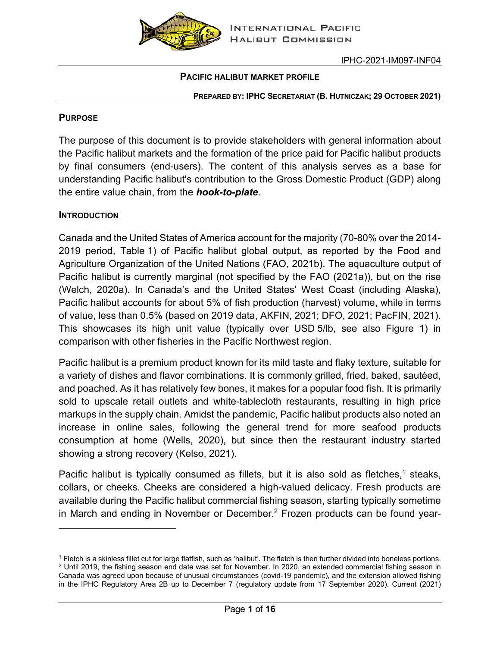

#### **PACIFIC HALIBUT MARKET PROFILE**

#### **PREPARED BY: IPHC SECRETARIAT (B. HUTNICZAK; 29 OCTOBER 2021)**

#### **PURPOSE**

The purpose of this document is to provide stakeholders with general information about the Pacific halibut markets and the formation of the price paid for Pacific halibut products by final consumers (end-users). The content of this analysis serves as a base for understanding Pacific halibut's contribution to the Gross Domestic Product (GDP) along the entire value chain, from the *hook-to-plate*.

#### **INTRODUCTION**

Canada and the United States of America account for the majority (70-80% over the 2014- 2019 period, [Table](#page-1-0) 1) of Pacific halibut global output, as reported by the Food and Agriculture Organization of the United Nations (FAO, 2021b). The aquaculture output of Pacific halibut is currently marginal (not specified by the FAO (2021a)), but on the rise (Welch, 2020a). In Canada's and the United States' West Coast (including Alaska), Pacific halibut accounts for about 5% of fish production (harvest) volume, while in terms of value, less than 0.5% (based on 2019 data, AKFIN, 2021; DFO, 2021; PacFIN, 2021). This showcases its high unit value (typically over USD 5/lb, see also [Figure 1\)](#page-1-1) in comparison with other fisheries in the Pacific Northwest region.

Pacific halibut is a premium product known for its mild taste and flaky texture, suitable for a variety of dishes and flavor combinations. It is commonly grilled, fried, baked, sautéed, and poached. As it has relatively few bones, it makes for a popular food fish. It is primarily sold to upscale retail outlets and white-tablecloth restaurants, resulting in high price markups in the supply chain. Amidst the pandemic, Pacific halibut products also noted an increase in online sales, following the general trend for more seafood products consumption at home (Wells, 2020), but since then the restaurant industry started showing a strong recovery (Kelso, 2021).

Pacific halibut is typically consumed as fillets, but it is also sold as fletches,<sup>1</sup> steaks, collars, or cheeks. Cheeks are considered a high-valued delicacy. Fresh products are available during the Pacific halibut commercial fishing season, starting typically sometime in March and ending in November or December.<sup>2</sup> Frozen products can be found year-

<sup>1</sup> Fletch is a skinless fillet cut for large flatfish, such as 'halibut'. The fletch is then further divided into boneless portions. <sup>2</sup> Until 2019, the fishing season end date was set for November. In 2020, an extended commercial fishing season in Canada was agreed upon because of unusual circumstances (covid-19 pandemic), and the extension allowed fishing in the IPHC Regulatory Area 2B up to December 7 (regulatory update from 17 September 2020). Current (2021)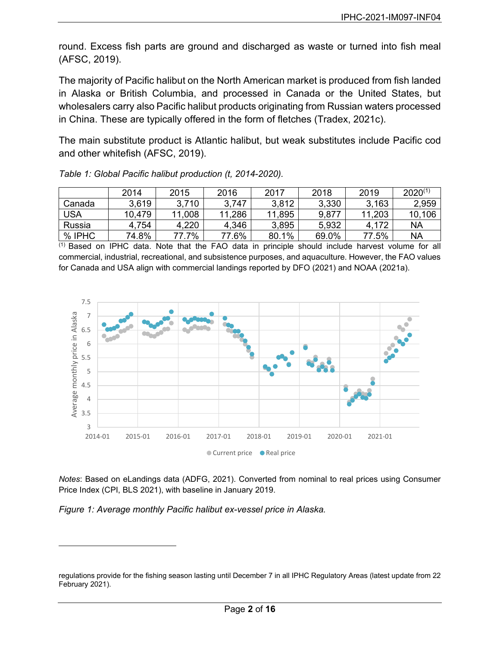round. Excess fish parts are ground and discharged as waste or turned into fish meal (AFSC, 2019).

The majority of Pacific halibut on the North American market is produced from fish landed in Alaska or British Columbia, and processed in Canada or the United States, but wholesalers carry also Pacific halibut products originating from Russian waters processed in China. These are typically offered in the form of fletches (Tradex, 2021c).

The main substitute product is Atlantic halibut, but weak substitutes include Pacific cod and other whitefish (AFSC, 2019).

|            | 2014   | 2015   | 2016   | 2017   | 2018  | 2019   | $2020^{(1)}$ |
|------------|--------|--------|--------|--------|-------|--------|--------------|
| Canada     | 3,619  | 3,710  | 3.747  | 3,812  | 3,330 | 3,163  | 2,959        |
| <b>USA</b> | 10,479 | 11,008 | 11,286 | 11,895 | 9,877 | 11,203 | 10,106       |
| Russia     | 4,754  | 4,220  | 4,346  | 3,895  | 5,932 | 4,172  | NA           |
| % IPHC     | 74.8%  | 77.7%  | 77.6%  | 80.1%  | 69.0% | 77.5%  | <b>NA</b>    |

<span id="page-1-0"></span>*Table 1: Global Pacific halibut production (t, 2014-2020).*

(1) Based on IPHC data. Note that the FAO data in principle should include harvest volume for all commercial, industrial, recreational, and subsistence purposes, and aquaculture. However, the FAO values for Canada and USA align with commercial landings reported by DFO (2021) and NOAA (2021a).



*Notes*: Based on eLandings data (ADFG, 2021). Converted from nominal to real prices using Consumer Price Index (CPI, BLS 2021), with baseline in January 2019.

<span id="page-1-1"></span>*Figure 1: Average monthly Pacific halibut ex-vessel price in Alaska.*

regulations provide for the fishing season lasting until December 7 in all IPHC Regulatory Areas (latest update from 22 February 2021).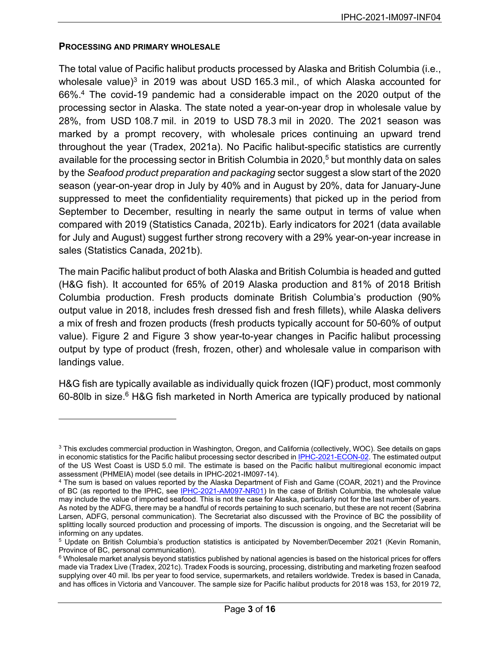#### **PROCESSING AND PRIMARY WHOLESALE**

The total value of Pacific halibut products processed by Alaska and British Columbia (i.e., wholesale value) $3$  in 2019 was about USD 165.3 mil., of which Alaska accounted for 66%.4 The covid-19 pandemic had a considerable impact on the 2020 output of the processing sector in Alaska. The state noted a year-on-year drop in wholesale value by 28%, from USD 108.7 mil. in 2019 to USD 78.3 mil in 2020. The 2021 season was marked by a prompt recovery, with wholesale prices continuing an upward trend throughout the year (Tradex, 2021a). No Pacific halibut-specific statistics are currently available for the processing sector in British Columbia in 2020, <sup>5</sup> but monthly data on sales by the *Seafood product preparation and packaging* sector suggest a slow start of the 2020 season (year-on-year drop in July by 40% and in August by 20%, data for January-June suppressed to meet the confidentiality requirements) that picked up in the period from September to December, resulting in nearly the same output in terms of value when compared with 2019 (Statistics Canada, 2021b). Early indicators for 2021 (data available for July and August) suggest further strong recovery with a 29% year-on-year increase in sales (Statistics Canada, 2021b).

The main Pacific halibut product of both Alaska and British Columbia is headed and gutted (H&G fish). It accounted for 65% of 2019 Alaska production and 81% of 2018 British Columbia production. Fresh products dominate British Columbia's production (90% output value in 2018, includes fresh dressed fish and fresh fillets), while Alaska delivers a mix of fresh and frozen products (fresh products typically account for 50-60% of output value). [Figure 2](#page-3-0) and [Figure 3](#page-4-0) show year-to-year changes in Pacific halibut processing output by type of product (fresh, frozen, other) and wholesale value in comparison with landings value.

H&G fish are typically available as individually quick frozen (IQF) product, most commonly 60-80lb in size.<sup>6</sup> H&G fish marketed in North America are typically produced by national

<sup>3</sup> This excludes commercial production in Washington, Oregon, and California (collectively, WOC). See details on gaps in economic statistics for the Pacific halibut processing sector described in [IPHC-2021-ECON-02.](https://www.iphc.int/uploads/pdf/economics/2021/iphc-2021-econ-02.pdf) The estimated output of the US West Coast is USD 5.0 mil. The estimate is based on the Pacific halibut multiregional economic impact assessment (PHMEIA) model (see details in IPHC-2021-IM097-14).

<sup>4</sup> The sum is based on values reported by the Alaska Department of Fish and Game (COAR, 2021) and the Province of BC (as reported to the IPHC, see [IPHC-2021-AM097-NR01\)](https://www.iphc.int/uploads/pdf/am/am097/iphc-2021-am097-nr01.pdf) In the case of British Columbia, the wholesale value may include the value of imported seafood. This is not the case for Alaska, particularly not for the last number of years. As noted by the ADFG, there may be a handful of records pertaining to such scenario, but these are not recent (Sabrina Larsen, ADFG, personal communication). The Secretariat also discussed with the Province of BC the possibility of splitting locally sourced production and processing of imports. The discussion is ongoing, and the Secretariat will be informing on any updates.

<sup>5</sup> Update on British Columbia's production statistics is anticipated by November/December 2021 (Kevin Romanin, Province of BC, personal communication).

 $6$  Wholesale market analysis beyond statistics published by national agencies is based on the historical prices for offers made via Tradex Live (Tradex, 2021c). Tradex Foods is sourcing, processing, distributing and marketing frozen seafood supplying over 40 mil. lbs per year to food service, supermarkets, and retailers worldwide. Tredex is based in Canada, and has offices in Victoria and Vancouver. The sample size for Pacific halibut products for 2018 was 153, for 2019 72,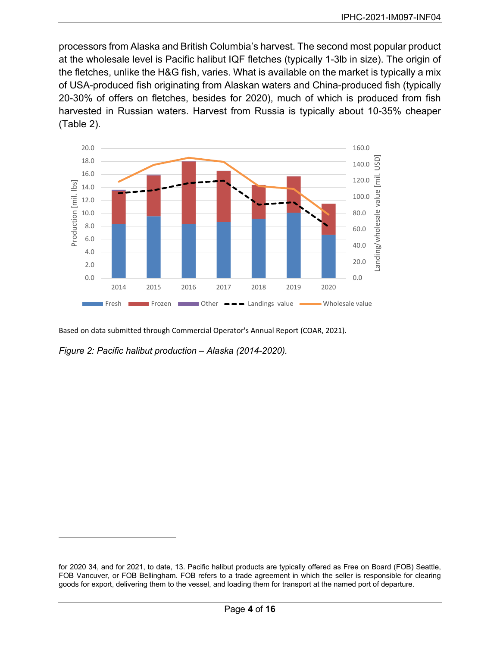processors from Alaska and British Columbia's harvest. The second most popular product at the wholesale level is Pacific halibut IQF fletches (typically 1-3lb in size). The origin of the fletches, unlike the H&G fish, varies. What is available on the market is typically a mix of USA-produced fish originating from Alaskan waters and China-produced fish (typically 20-30% of offers on fletches, besides for 2020), much of which is produced from fish harvested in Russian waters. Harvest from Russia is typically about 10-35% cheaper [\(Table 2\)](#page-4-1).



Based on data submitted through Commercial Operator's Annual Report (COAR, 2021).

<span id="page-3-0"></span>*Figure 2: Pacific halibut production – Alaska (2014-2020).*

for 2020 34, and for 2021, to date, 13. Pacific halibut products are typically offered as Free on Board (FOB) Seattle, FOB Vancuver, or FOB Bellingham. FOB refers to a trade agreement in which the seller is responsible for clearing goods for export, delivering them to the vessel, and loading them for transport at the named port of departure.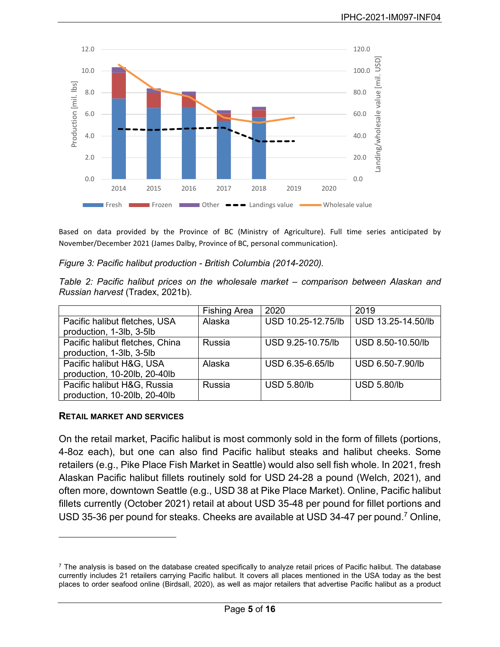

Based on data provided by the Province of BC (Ministry of Agriculture). Full time series anticipated by November/December 2021 (James Dalby, Province of BC, personal communication).

<span id="page-4-0"></span>*Figure 3: Pacific halibut production - British Columbia (2014-2020).*

<span id="page-4-1"></span>*Table 2: Pacific halibut prices on the wholesale market – comparison between Alaskan and Russian harvest* (Tradex, 2021b)*.*

|                                 | <b>Fishing Area</b> | 2020               | 2019               |
|---------------------------------|---------------------|--------------------|--------------------|
| Pacific halibut fletches, USA   | Alaska              | USD 10.25-12.75/lb | USD 13.25-14.50/lb |
| production, 1-3lb, 3-5lb        |                     |                    |                    |
| Pacific halibut fletches, China | Russia              | USD 9.25-10.75/lb  | USD 8.50-10.50/lb  |
| production, 1-3lb, 3-5lb        |                     |                    |                    |
| Pacific halibut H&G, USA        | Alaska              | USD 6.35-6.65/lb   | USD 6.50-7.90/lb   |
| production, 10-20lb, 20-40lb    |                     |                    |                    |
| Pacific halibut H&G, Russia     | Russia              | <b>USD 5.80/lb</b> | <b>USD 5.80/lb</b> |
| production, 10-20lb, 20-40lb    |                     |                    |                    |

#### **RETAIL MARKET AND SERVICES**

On the retail market, Pacific halibut is most commonly sold in the form of fillets (portions, 4-8oz each), but one can also find Pacific halibut steaks and halibut cheeks. Some retailers (e.g., Pike Place Fish Market in Seattle) would also sell fish whole. In 2021, fresh Alaskan Pacific halibut fillets routinely sold for USD 24-28 a pound (Welch, 2021), and often more, downtown Seattle (e.g., USD 38 at Pike Place Market). Online, Pacific halibut fillets currently (October 2021) retail at about USD 35-48 per pound for fillet portions and USD 35-36 per pound for steaks. Cheeks are available at USD 34-47 per pound.7 Online,

 $7$  The analysis is based on the database created specifically to analyze retail prices of Pacific halibut. The database currently includes 21 retailers carrying Pacific halibut. It covers all places mentioned in the USA today as the best places to order seafood online (Birdsall, 2020), as well as major retailers that advertise Pacific halibut as a product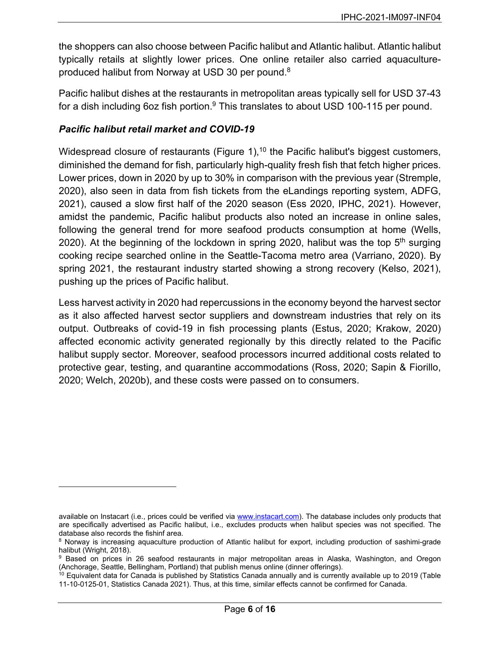the shoppers can also choose between Pacific halibut and Atlantic halibut. Atlantic halibut typically retails at slightly lower prices. One online retailer also carried aquacultureproduced halibut from Norway at USD 30 per pound.8

Pacific halibut dishes at the restaurants in metropolitan areas typically sell for USD 37-43 for a dish including 6oz fish portion.<sup>9</sup> This translates to about USD 100-115 per pound.

### *Pacific halibut retail market and COVID-19*

Widespread closure of restaurants [\(Figure 1\)](#page-6-0),  $10$  the Pacific halibut's biggest customers, diminished the demand for fish, particularly high-quality fresh fish that fetch higher prices. Lower prices, down in 2020 by up to 30% in comparison with the previous year (Stremple, 2020), also seen in data from fish tickets from the eLandings reporting system, ADFG, 2021), caused a slow first half of the 2020 season (Ess 2020, IPHC, 2021). However, amidst the pandemic, Pacific halibut products also noted an increase in online sales, following the general trend for more seafood products consumption at home (Wells, 2020). At the beginning of the lockdown in spring 2020, halibut was the top  $5<sup>th</sup>$  surging cooking recipe searched online in the Seattle-Tacoma metro area (Varriano, 2020). By spring 2021, the restaurant industry started showing a strong recovery (Kelso, 2021), pushing up the prices of Pacific halibut.

Less harvest activity in 2020 had repercussions in the economy beyond the harvest sector as it also affected harvest sector suppliers and downstream industries that rely on its output. Outbreaks of covid-19 in fish processing plants (Estus, 2020; Krakow, 2020) affected economic activity generated regionally by this directly related to the Pacific halibut supply sector. Moreover, seafood processors incurred additional costs related to protective gear, testing, and quarantine accommodations (Ross, 2020; Sapin & Fiorillo, 2020; Welch, 2020b), and these costs were passed on to consumers.

available on Instacart (i.e., prices could be verified via [www.instacart.com\)](http://www.instacart.com/). The database includes only products that are specifically advertised as Pacific halibut, i.e., excludes products when halibut species was not specified. The database also records the fishinf area.

<sup>8</sup> Norway is increasing aquaculture production of Atlantic halibut for export, including production of sashimi-grade halibut (Wright, 2018).

<sup>9</sup> Based on prices in 26 seafood restaurants in major metropolitan areas in Alaska, Washington, and Oregon (Anchorage, Seattle, Bellingham, Portland) that publish menus online (dinner offerings).

 $10$  Equivalent data for Canada is published by Statistics Canada annually and is currently available up to 2019 (Table 11-10-0125-01, Statistics Canada 2021). Thus, at this time, similar effects cannot be confirmed for Canada.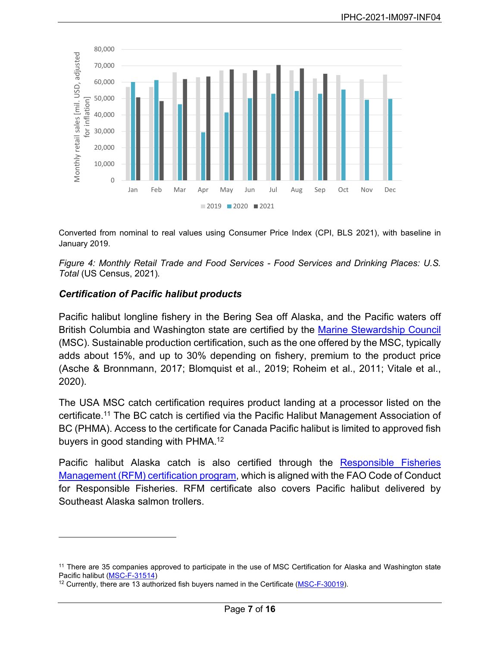

Converted from nominal to real values using Consumer Price Index (CPI, BLS 2021), with baseline in January 2019.

<span id="page-6-0"></span>*Figure 4: Monthly Retail Trade and Food Services - Food Services and Drinking Places: U.S. Total* (US Census, 2021)*.*

# *Certification of Pacific halibut products*

Pacific halibut longline fishery in the Bering Sea off Alaska, and the Pacific waters off British Columbia and Washington state are certified by the [Marine Stewardship Council](https://fisheries.msc.org/en/fisheries/) (MSC). Sustainable production certification, such as the one offered by the MSC, typically adds about 15%, and up to 30% depending on fishery, premium to the product price (Asche & Bronnmann, 2017; Blomquist et al., 2019; Roheim et al., 2011; Vitale et al., 2020).

The USA MSC catch certification requires product landing at a processor listed on the certificate.11 The BC catch is certified via the Pacific Halibut Management Association of BC (PHMA). Access to the certificate for Canada Pacific halibut is limited to approved fish buyers in good standing with PHMA.12

Pacific halibut Alaska catch is also certified through the [Responsible Fisheries](https://rfmcertification.org/certified-fishery-species/alaska-halibut/)  [Management \(RFM\) certification program,](https://rfmcertification.org/certified-fishery-species/alaska-halibut/) which is aligned with the FAO Code of Conduct for Responsible Fisheries. RFM certificate also covers Pacific halibut delivered by Southeast Alaska salmon trollers.

<sup>&</sup>lt;sup>11</sup> There are 35 companies approved to participate in the use of MSC Certification for Alaska and Washington state Pacific halibut [\(MSC-F-31514\)](https://cert.msc.org/FileLoader/FileLinkDownload.asmx/GetFile?encryptedKey=mkpu56G1wO6dsgVnG0/cIpwcFsqc9v0PzvigYVLN/DramP/teUEEAbyzfdxUdCn3)

<sup>&</sup>lt;sup>12</sup> Currently, there are 13 authorized fish buyers named in the Certificate [\(MSC-F-30019\)](https://cert.msc.org/FileLoader/FileLinkDownload.asmx/GetFile?encryptedKey=YRHtly40mG3xvPoA8pAGH6G1PFiKxW/V+trVngVGXBTbq8eoMaS9ZkzL5326MFDm).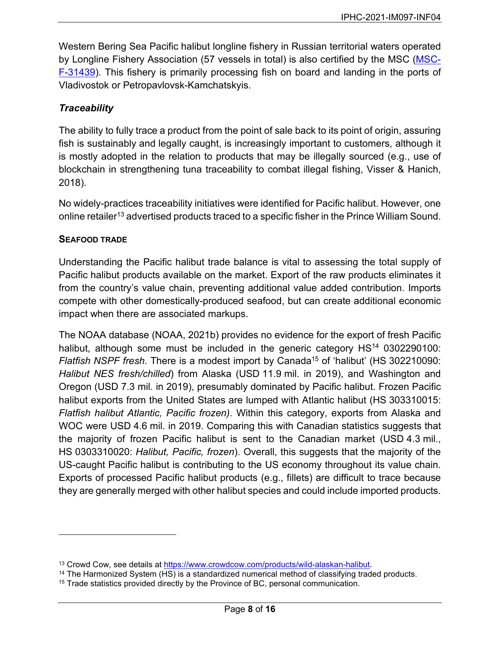Western Bering Sea Pacific halibut longline fishery in Russian territorial waters operated by Longline Fishery Association (57 vessels in total) is also certified by the MSC [\(MSC-](https://cert.msc.org/FileLoader/FileLinkDownload.asmx/GetFile?encryptedKey=uNJKSz0qCIW3NPY98bLG8hPjx3PctibV4l1bsKOomJFptlHJcLo5lWf/h0R9laZa)[F-31439\)](https://cert.msc.org/FileLoader/FileLinkDownload.asmx/GetFile?encryptedKey=uNJKSz0qCIW3NPY98bLG8hPjx3PctibV4l1bsKOomJFptlHJcLo5lWf/h0R9laZa). This fishery is primarily processing fish on board and landing in the ports of Vladivostok or Petropavlovsk-Kamchatskyis.

# *Traceability*

The ability to fully trace a product from the point of sale back to its point of origin, assuring fish is sustainably and legally caught, is increasingly important to customers, although it is mostly adopted in the relation to products that may be illegally sourced (e.g., use of blockchain in strengthening tuna traceability to combat illegal fishing, Visser & Hanich, 2018).

No widely-practices traceability initiatives were identified for Pacific halibut. However, one online retailer<sup>13</sup> advertised products traced to a specific fisher in the Prince William Sound.

# <span id="page-7-0"></span>**SEAFOOD TRADE**

Understanding the Pacific halibut trade balance is vital to assessing the total supply of Pacific halibut products available on the market. Export of the raw products eliminates it from the country's value chain, preventing additional value added contribution. Imports compete with other domestically-produced seafood, but can create additional economic impact when there are associated markups.

The NOAA database (NOAA, 2021b) provides no evidence for the export of fresh Pacific halibut, although some must be included in the generic category  $HS<sup>14</sup>$  0302290100: *Flatfish NSPF fresh.* There is a modest import by Canada<sup>15</sup> of 'halibut' (HS 302210090: *Halibut NES fresh/chilled*) from Alaska (USD 11.9 mil. in 2019), and Washington and Oregon (USD 7.3 mil. in 2019), presumably dominated by Pacific halibut. Frozen Pacific halibut exports from the United States are lumped with Atlantic halibut (HS 303310015: *Flatfish halibut Atlantic, Pacific frozen)*. Within this category, exports from Alaska and WOC were USD 4.6 mil. in 2019. Comparing this with Canadian statistics suggests that the majority of frozen Pacific halibut is sent to the Canadian market (USD 4.3 mil., HS 0303310020: *Halibut, Pacific, frozen*). Overall, this suggests that the majority of the US-caught Pacific halibut is contributing to the US economy throughout its value chain. Exports of processed Pacific halibut products (e.g., fillets) are difficult to trace because they are generally merged with other halibut species and could include imported products.

 $13$  Crowd Cow, see details at https://www.crowdcow.com/products/wild-alaskan-halibut.<br>14 The Harmonized System (HS) is a standardized numerical method of classifying traded products.

<sup>&</sup>lt;sup>15</sup> Trade statistics provided directly by the Province of BC, personal communication.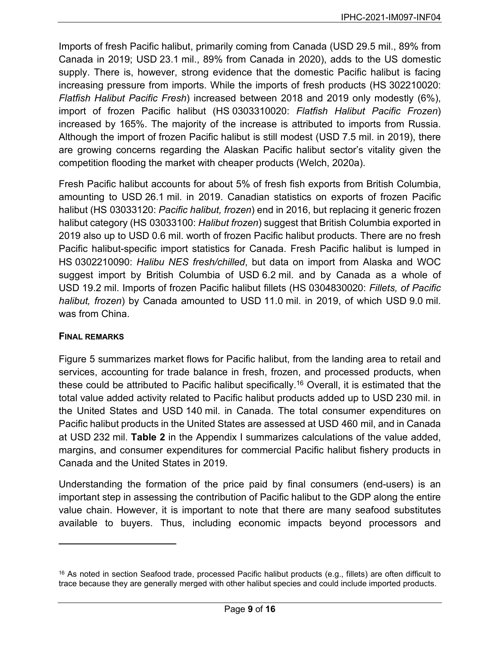Imports of fresh Pacific halibut, primarily coming from Canada (USD 29.5 mil., 89% from Canada in 2019; USD 23.1 mil., 89% from Canada in 2020), adds to the US domestic supply. There is, however, strong evidence that the domestic Pacific halibut is facing increasing pressure from imports. While the imports of fresh products (HS 302210020: *Flatfish Halibut Pacific Fresh*) increased between 2018 and 2019 only modestly (6%), import of frozen Pacific halibut (HS 0303310020: *Flatfish Halibut Pacific Frozen*) increased by 165%. The majority of the increase is attributed to imports from Russia. Although the import of frozen Pacific halibut is still modest (USD 7.5 mil. in 2019), there are growing concerns regarding the Alaskan Pacific halibut sector's vitality given the competition flooding the market with cheaper products (Welch, 2020a).

Fresh Pacific halibut accounts for about 5% of fresh fish exports from British Columbia, amounting to USD 26.1 mil. in 2019. Canadian statistics on exports of frozen Pacific halibut (HS 03033120: *Pacific halibut, frozen*) end in 2016, but replacing it generic frozen halibut category (HS 03033100: *Halibut frozen*) suggest that British Columbia exported in 2019 also up to USD 0.6 mil. worth of frozen Pacific halibut products. There are no fresh Pacific halibut-specific import statistics for Canada. Fresh Pacific halibut is lumped in HS 0302210090: *Halibu NES fresh/chilled*, but data on import from Alaska and WOC suggest import by British Columbia of USD 6.2 mil. and by Canada as a whole of USD 19.2 mil. Imports of frozen Pacific halibut fillets (HS 0304830020: *Fillets, of Pacific halibut, frozen*) by Canada amounted to USD 11.0 mil. in 2019, of which USD 9.0 mil. was from China.

# **FINAL REMARKS**

[Figure 5](#page-9-0) summarizes market flows for Pacific halibut, from the landing area to retail and services, accounting for trade balance in fresh, frozen, and processed products, when these could be attributed to Pacific halibut specifically. <sup>16</sup> Overall, it is estimated that the total value added activity related to Pacific halibut products added up to USD 230 mil. in the United States and USD 140 mil. in Canada. The total consumer expenditures on Pacific halibut products in the United States are assessed at USD 460 mil, and in Canada at USD 232 mil. **[Table 2](#page-12-0)** in the Appendix I summarizes calculations of the value added, margins, and consumer expenditures for commercial Pacific halibut fishery products in Canada and the United States in 2019.

Understanding the formation of the price paid by final consumers (end-users) is an important step in assessing the contribution of Pacific halibut to the GDP along the entire value chain. However, it is important to note that there are many seafood substitutes available to buyers. Thus, including economic impacts beyond processors and

<sup>&</sup>lt;sup>16</sup> As noted in section [Seafood trade,](#page-7-0) processed Pacific halibut products (e.g., fillets) are often difficult to trace because they are generally merged with other halibut species and could include imported products.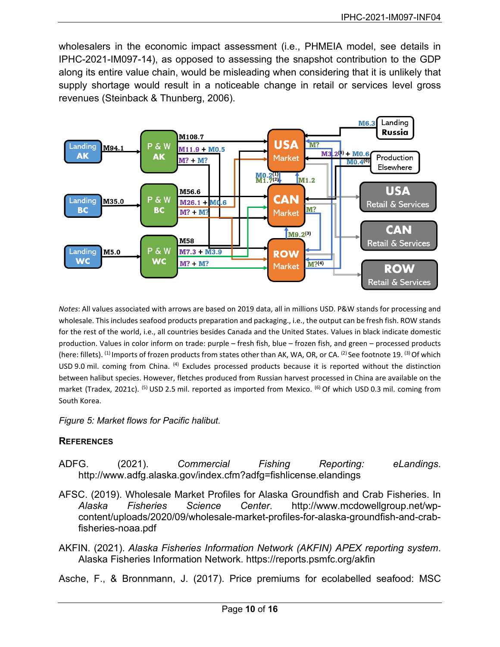wholesalers in the economic impact assessment (i.e., PHMEIA model, see details in IPHC-2021-IM097-14), as opposed to assessing the snapshot contribution to the GDP along its entire value chain, would be misleading when considering that it is unlikely that supply shortage would result in a noticeable change in retail or services level gross revenues (Steinback & Thunberg, 2006).



*Notes*: All values associated with arrows are based on 2019 data, all in millions USD. P&W stands for processing and wholesale. This includes seafood products preparation and packaging., i.e., the output can be fresh fish. ROW stands for the rest of the world, i.e., all countries besides Canada and the United States. Values in black indicate domestic production. Values in color inform on trade: purple – fresh fish, blue – frozen fish, and green – processed products (here: fillets). (1) Imports of frozen products from states other than AK, WA, OR, or CA. (2) See footnote [19.](#page-13-0) (3) Of which USD 9.0 mil. coming from China. (4) Excludes processed products because it is reported without the distinction between halibut species. However, fletches produced from Russian harvest processed in China are available on the market (Tradex, 2021c). <sup>(5)</sup> USD 2.5 mil. reported as imported from Mexico. <sup>(6)</sup> Of which USD 0.3 mil. coming from South Korea.

<span id="page-9-0"></span>*Figure 5: Market flows for Pacific halibut.*

# **REFERENCES**

- ADFG. (2021). *Commercial Fishing Reporting: eLandings*. http://www.adfg.alaska.gov/index.cfm?adfg=fishlicense.elandings
- AFSC. (2019). Wholesale Market Profiles for Alaska Groundfish and Crab Fisheries. In *Alaska Fisheries Science Center*. http://www.mcdowellgroup.net/wpcontent/uploads/2020/09/wholesale-market-profiles-for-alaska-groundfish-and-crabfisheries-noaa.pdf
- AKFIN. (2021). *Alaska Fisheries Information Network (AKFIN) APEX reporting system*. Alaska Fisheries Information Network. https://reports.psmfc.org/akfin

Asche, F., & Bronnmann, J. (2017). Price premiums for ecolabelled seafood: MSC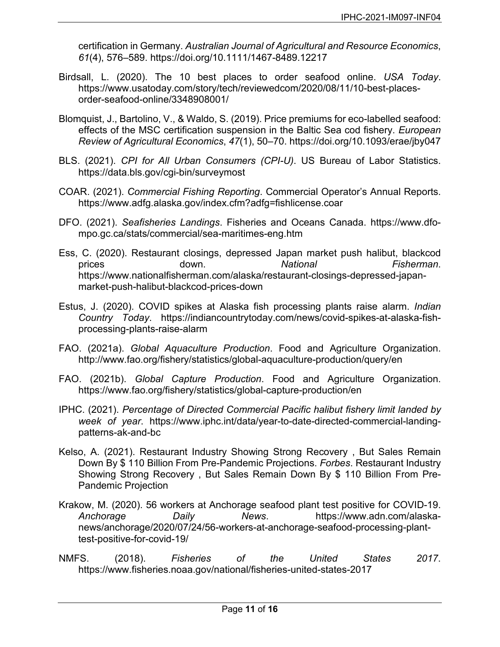certification in Germany. *Australian Journal of Agricultural and Resource Economics*, *61*(4), 576–589. https://doi.org/10.1111/1467-8489.12217

- Birdsall, L. (2020). The 10 best places to order seafood online. *USA Today*. https://www.usatoday.com/story/tech/reviewedcom/2020/08/11/10-best-placesorder-seafood-online/3348908001/
- Blomquist, J., Bartolino, V., & Waldo, S. (2019). Price premiums for eco-labelled seafood: effects of the MSC certification suspension in the Baltic Sea cod fishery. *European Review of Agricultural Economics*, *47*(1), 50–70. https://doi.org/10.1093/erae/jby047
- BLS. (2021). *CPI for All Urban Consumers (CPI-U)*. US Bureau of Labor Statistics. https://data.bls.gov/cgi-bin/surveymost
- COAR. (2021). *Commercial Fishing Reporting*. Commercial Operator's Annual Reports. https://www.adfg.alaska.gov/index.cfm?adfg=fishlicense.coar
- DFO. (2021). *Seafisheries Landings*. Fisheries and Oceans Canada. https://www.dfompo.gc.ca/stats/commercial/sea-maritimes-eng.htm
- Ess, C. (2020). Restaurant closings, depressed Japan market push halibut, blackcod prices down. *National Fisherman*. https://www.nationalfisherman.com/alaska/restaurant-closings-depressed-japanmarket-push-halibut-blackcod-prices-down
- Estus, J. (2020). COVID spikes at Alaska fish processing plants raise alarm. *Indian Country Today*. https://indiancountrytoday.com/news/covid-spikes-at-alaska-fishprocessing-plants-raise-alarm
- FAO. (2021a). *Global Aquaculture Production*. Food and Agriculture Organization. http://www.fao.org/fishery/statistics/global-aquaculture-production/query/en
- FAO. (2021b). *Global Capture Production*. Food and Agriculture Organization. https://www.fao.org/fishery/statistics/global-capture-production/en
- IPHC. (2021). *Percentage of Directed Commercial Pacific halibut fishery limit landed by week of year*. https://www.iphc.int/data/year-to-date-directed-commercial-landingpatterns-ak-and-bc
- Kelso, A. (2021). Restaurant Industry Showing Strong Recovery , But Sales Remain Down By \$ 110 Billion From Pre-Pandemic Projections. *Forbes*. Restaurant Industry Showing Strong Recovery , But Sales Remain Down By \$ 110 Billion From Pre-Pandemic Projection
- Krakow, M. (2020). 56 workers at Anchorage seafood plant test positive for COVID-19. *Anchorage Daily News*. https://www.adn.com/alaskanews/anchorage/2020/07/24/56-workers-at-anchorage-seafood-processing-planttest-positive-for-covid-19/
- NMFS. (2018). *Fisheries of the United States 2017*. https://www.fisheries.noaa.gov/national/fisheries-united-states-2017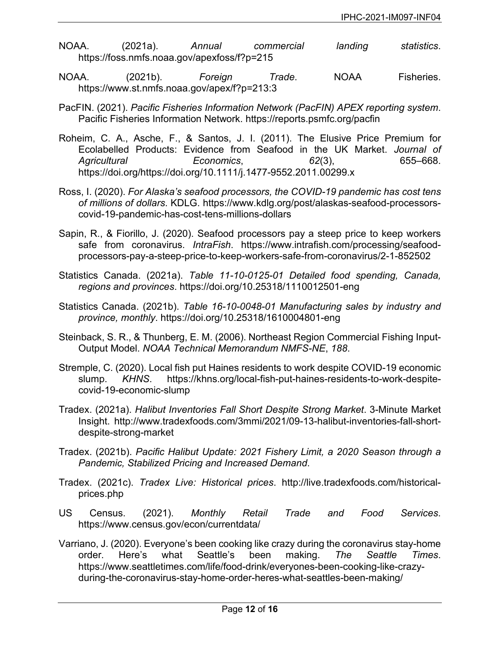- NOAA. (2021a). *Annual commercial landing statistics*. https://foss.nmfs.noaa.gov/apexfoss/f?p=215
- NOAA. (2021b). *Foreign Trade*. NOAA Fisheries. https://www.st.nmfs.noaa.gov/apex/f?p=213:3
- PacFIN. (2021). *Pacific Fisheries Information Network (PacFIN) APEX reporting system*. Pacific Fisheries Information Network. https://reports.psmfc.org/pacfin
- Roheim, C. A., Asche, F., & Santos, J. I. (2011). The Elusive Price Premium for Ecolabelled Products: Evidence from Seafood in the UK Market. *Journal of Agricultural Economics*, *62*(3), 655–668. https://doi.org/https://doi.org/10.1111/j.1477-9552.2011.00299.x
- Ross, I. (2020). *For Alaska's seafood processors, the COVID-19 pandemic has cost tens of millions of dollars*. KDLG. https://www.kdlg.org/post/alaskas-seafood-processorscovid-19-pandemic-has-cost-tens-millions-dollars
- Sapin, R., & Fiorillo, J. (2020). Seafood processors pay a steep price to keep workers safe from coronavirus. *IntraFish*. https://www.intrafish.com/processing/seafoodprocessors-pay-a-steep-price-to-keep-workers-safe-from-coronavirus/2-1-852502
- Statistics Canada. (2021a). *Table 11-10-0125-01 Detailed food spending, Canada, regions and provinces*. https://doi.org/10.25318/1110012501-eng
- Statistics Canada. (2021b). *Table 16-10-0048-01 Manufacturing sales by industry and province, monthly*. https://doi.org/10.25318/1610004801-eng
- Steinback, S. R., & Thunberg, E. M. (2006). Northeast Region Commercial Fishing Input-Output Model. *NOAA Technical Memorandum NMFS-NE*, *188*.
- Stremple, C. (2020). Local fish put Haines residents to work despite COVID-19 economic slump. *KHNS*. https://khns.org/local-fish-put-haines-residents-to-work-despitecovid-19-economic-slump
- Tradex. (2021a). *Halibut Inventories Fall Short Despite Strong Market*. 3-Minute Market Insight. http://www.tradexfoods.com/3mmi/2021/09-13-halibut-inventories-fall-shortdespite-strong-market
- Tradex. (2021b). *Pacific Halibut Update: 2021 Fishery Limit, a 2020 Season through a Pandemic, Stabilized Pricing and Increased Demand*.
- Tradex. (2021c). *Tradex Live: Historical prices*. http://live.tradexfoods.com/historicalprices.php
- US Census. (2021). *Monthly Retail Trade and Food Services*. https://www.census.gov/econ/currentdata/
- Varriano, J. (2020). Everyone's been cooking like crazy during the coronavirus stay-home order. Here's what Seattle's been making. *The Seattle Times*. https://www.seattletimes.com/life/food-drink/everyones-been-cooking-like-crazyduring-the-coronavirus-stay-home-order-heres-what-seattles-been-making/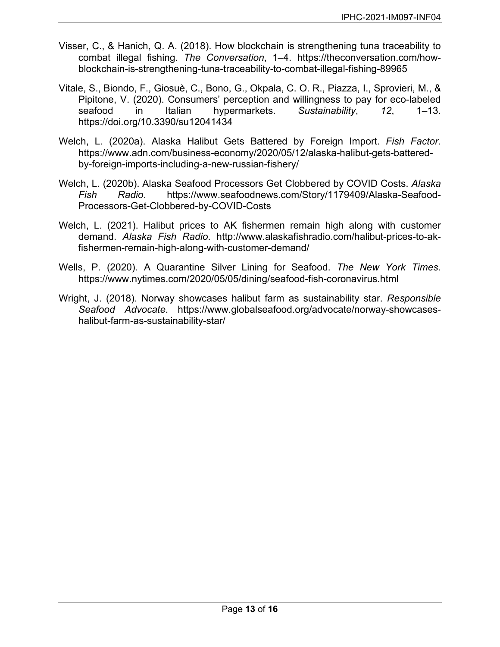- Visser, C., & Hanich, Q. A. (2018). How blockchain is strengthening tuna traceability to combat illegal fishing. *The Conversation*, 1–4. https://theconversation.com/howblockchain-is-strengthening-tuna-traceability-to-combat-illegal-fishing-89965
- Vitale, S., Biondo, F., Giosuè, C., Bono, G., Okpala, C. O. R., Piazza, I., Sprovieri, M., & Pipitone, V. (2020). Consumers' perception and willingness to pay for eco-labeled seafood in Italian hypermarkets. *Sustainability*, *12*, 1–13. https://doi.org/10.3390/su12041434
- Welch, L. (2020a). Alaska Halibut Gets Battered by Foreign Import. *Fish Factor*. https://www.adn.com/business-economy/2020/05/12/alaska-halibut-gets-batteredby-foreign-imports-including-a-new-russian-fishery/
- Welch, L. (2020b). Alaska Seafood Processors Get Clobbered by COVID Costs. *Alaska Fish Radio*. https://www.seafoodnews.com/Story/1179409/Alaska-Seafood-Processors-Get-Clobbered-by-COVID-Costs
- Welch, L. (2021). Halibut prices to AK fishermen remain high along with customer demand. *Alaska Fish Radio*. http://www.alaskafishradio.com/halibut-prices-to-akfishermen-remain-high-along-with-customer-demand/
- Wells, P. (2020). A Quarantine Silver Lining for Seafood. *The New York Times*. https://www.nytimes.com/2020/05/05/dining/seafood-fish-coronavirus.html
- <span id="page-12-0"></span>Wright, J. (2018). Norway showcases halibut farm as sustainability star. *Responsible Seafood Advocate*. https://www.globalseafood.org/advocate/norway-showcaseshalibut-farm-as-sustainability-star/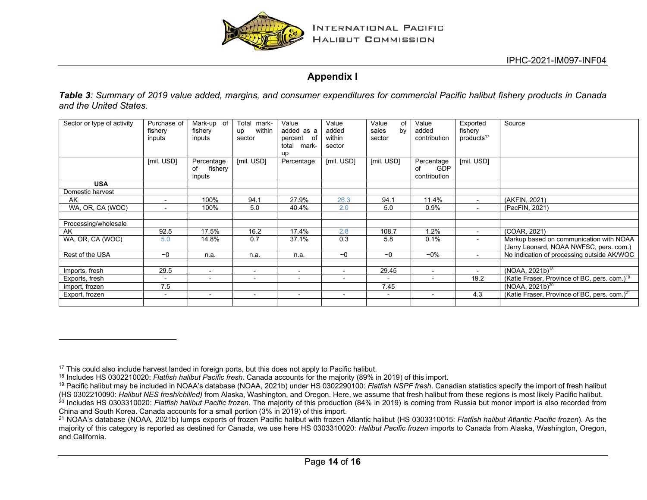

# <span id="page-13-0"></span>**Appendix I**

*Table 3: Summary of 2019 value added, margins, and consumer expenditures for commercial Pacific halibut fishery products in Canada and the United States.*

| Sector or type of activity | Purchase of              | Mark-up of               | Total<br>mark-           | Value                    | Value                    | Value<br>of              | Value          | Exported                 | Source                                                   |
|----------------------------|--------------------------|--------------------------|--------------------------|--------------------------|--------------------------|--------------------------|----------------|--------------------------|----------------------------------------------------------|
|                            | fishery                  | fishery                  | within<br>up             | added as a               | added                    | by<br>sales              | added          | fishery                  |                                                          |
|                            | inputs                   | inputs                   | sector                   | percent<br>of            | within                   | sector                   | contribution   | products <sup>17</sup>   |                                                          |
|                            |                          |                          |                          | total<br>mark-           | sector                   |                          |                |                          |                                                          |
|                            |                          |                          |                          | up                       |                          |                          |                |                          |                                                          |
|                            | [mil. USD]               | Percentage               | [mil. USD]               | Percentage               | [mil. USD]               | [mil. USD]               | Percentage     | [mil. USD]               |                                                          |
|                            |                          | fishery<br>of            |                          |                          |                          |                          | GDP<br>of      |                          |                                                          |
|                            |                          | inputs                   |                          |                          |                          |                          | contribution   |                          |                                                          |
| <b>USA</b>                 |                          |                          |                          |                          |                          |                          |                |                          |                                                          |
| Domestic harvest           |                          |                          |                          |                          |                          |                          |                |                          |                                                          |
| AK                         | $\sim$                   | 100%                     | 94.1                     | 27.9%                    | 26.3                     | 94.1                     | 11.4%          | $\sim$                   | (AKFIN, 2021)                                            |
| WA, OR, CA (WOC)           | $\overline{\phantom{a}}$ | 100%                     | 5.0                      | 40.4%                    | 2.0                      | 5.0                      | 0.9%           | $\overline{\phantom{0}}$ | (PacFIN, 2021)                                           |
|                            |                          |                          |                          |                          |                          |                          |                |                          |                                                          |
| Processing/wholesale       |                          |                          |                          |                          |                          |                          |                |                          |                                                          |
| AK                         | 92.5                     | 17.5%                    | 16.2                     | 17.4%                    | 2.8                      | 108.7                    | 1.2%           | $\sim$                   | (COAR, 2021)                                             |
| WA, OR, CA (WOC)           | 5.0                      | 14.8%                    | 0.7                      | 37.1%                    | 0.3                      | 5.8                      | 0.1%           | $\sim$                   | Markup based on communication with NOAA                  |
|                            |                          |                          |                          |                          |                          |                          |                |                          | (Jerry Leonard, NOAA NWFSC, pers. com.)                  |
| Rest of the USA            | ~1                       | n.a.                     | n.a.                     | n.a.                     | ~1                       | ~1                       | $-0\%$         | $\sim$                   | No indication of processing outside AK/WOC               |
|                            |                          |                          |                          |                          |                          |                          |                |                          |                                                          |
| Imports, fresh             | 29.5                     | $\overline{\phantom{a}}$ | $\overline{\phantom{a}}$ | $\overline{\phantom{a}}$ | $\overline{\phantom{a}}$ | 29.45                    | $\sim$         |                          | (NOAA, 2021b) <sup>18</sup>                              |
| Exports, fresh             | $\blacksquare$           | $\overline{\phantom{a}}$ | $\overline{\phantom{a}}$ | $\overline{\phantom{a}}$ | $\overline{\phantom{a}}$ | $\overline{\phantom{a}}$ | $\blacksquare$ | 19.2                     | (Katie Fraser, Province of BC, pers. com.) <sup>19</sup> |
| Import, frozen             | 7.5                      |                          |                          |                          |                          | 7.45                     |                |                          | (NOAA, 2021b) <sup>20</sup>                              |
| Export, frozen             | $\sim$                   | $\sim$                   | $\overline{\phantom{a}}$ | $\sim$                   | $\blacksquare$           | $\sim$                   | $\sim$         | 4.3                      | (Katie Fraser, Province of BC, pers. com.) <sup>21</sup> |
|                            |                          |                          |                          |                          |                          |                          |                |                          |                                                          |

<sup>&</sup>lt;sup>17</sup> This could also include harvest landed in foreign ports, but this does not apply to Pacific halibut.

<sup>18</sup> Includes HS 0302210020: *Flatfish halibut Pacific fresh*. Canada accounts for the majority (89% in 2019) of this import.

<sup>19</sup> Pacific halibut may be included in NOAA's database (NOAA, 2021b) under HS 0302290100: *Flatfish NSPF fresh*. Canadian statistics specify the import of fresh halibut (HS 0302210090: *Halibut NES fresh/chilled)* from Alaska, Washington, and Oregon. Here, we assume that fresh halibut from these regions is most likely Pacific halibut. <sup>20</sup> Includes HS 0303310020: Flatfish halibut Pacific frozen. The majority of this production (84% in 2019) is coming from Russia but monor import is also recorded from China and South Korea. Canada accounts for a small portion (3% in 2019) of this import.

<sup>21</sup> NOAA's database (NOAA, 2021b) lumps exports of frozen Pacific halibut with frozen Atlantic halibut (HS 0303310015: *Flatfish halibut Atlantic Pacific frozen*). As the majority of this category is reported as destined for Canada, we use here HS 0303310020: *Halibut Pacific frozen* imports to Canada from Alaska, Washington, Oregon, and California.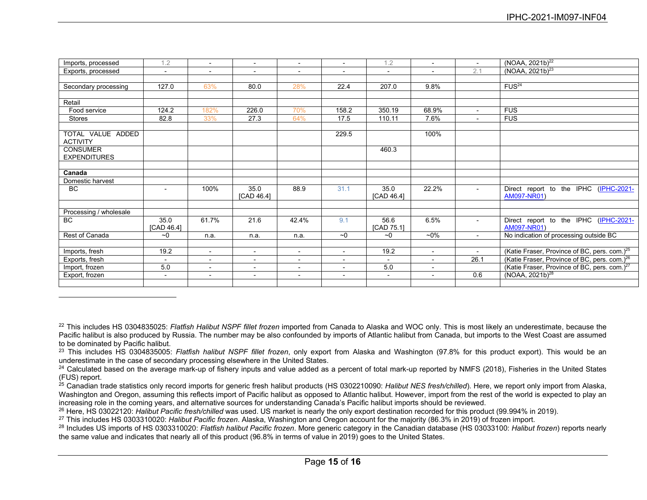| Imports, processed     | 1.2                      |                          | $\overline{\phantom{0}}$ | $\overline{\phantom{a}}$ | $\overline{\phantom{a}}$ | 1.2                      | $\overline{\phantom{a}}$ | $\overline{\phantom{a}}$ | (NOAA, 2021b) <sup>22</sup>                              |
|------------------------|--------------------------|--------------------------|--------------------------|--------------------------|--------------------------|--------------------------|--------------------------|--------------------------|----------------------------------------------------------|
| Exports, processed     | $\sim$                   | $\blacksquare$           | $\blacksquare$           | $\blacksquare$           | $\overline{\phantom{a}}$ | $\sim$                   | $\overline{\phantom{a}}$ | 2.1                      | $(NOAA, 2021b)^{23}$                                     |
|                        |                          |                          |                          |                          |                          |                          |                          |                          |                                                          |
| Secondary processing   | 127.0                    | 63%                      | 80.0                     | 28%                      | 22.4                     | 207.0                    | 9.8%                     |                          | FUS <sup>24</sup>                                        |
|                        |                          |                          |                          |                          |                          |                          |                          |                          |                                                          |
| Retail                 |                          |                          |                          |                          |                          |                          |                          |                          |                                                          |
| Food service           | 124.2                    | 182%                     | 226.0                    | 70%                      | 158.2                    | 350.19                   | 68.9%                    | $\sim$                   | <b>FUS</b>                                               |
| Stores                 | 82.8                     | 33%                      | 27.3                     | 64%                      | 17.5                     | 110.11                   | 7.6%                     | $\overline{\phantom{a}}$ | <b>FUS</b>                                               |
|                        |                          |                          |                          |                          |                          |                          |                          |                          |                                                          |
| TOTAL VALUE ADDED      |                          |                          |                          |                          | 229.5                    |                          | 100%                     |                          |                                                          |
| <b>ACTIVITY</b>        |                          |                          |                          |                          |                          |                          |                          |                          |                                                          |
| <b>CONSUMER</b>        |                          |                          |                          |                          |                          | 460.3                    |                          |                          |                                                          |
| <b>EXPENDITURES</b>    |                          |                          |                          |                          |                          |                          |                          |                          |                                                          |
|                        |                          |                          |                          |                          |                          |                          |                          |                          |                                                          |
| Canada                 |                          |                          |                          |                          |                          |                          |                          |                          |                                                          |
| Domestic harvest       |                          |                          |                          |                          |                          |                          |                          |                          |                                                          |
| <b>BC</b>              | $\sim$                   | 100%                     | 35.0                     | 88.9                     | 31.1                     | 35.0                     | 22.2%                    | $\blacksquare$           | Direct report to the IPHC (IPHC-2021-                    |
|                        |                          |                          | [CAD 46.4]               |                          |                          | [CAD 46.4]               |                          |                          | AM097-NR01)                                              |
|                        |                          |                          |                          |                          |                          |                          |                          |                          |                                                          |
| Processing / wholesale |                          |                          |                          |                          |                          |                          |                          |                          |                                                          |
| BC                     | 35.0                     | 61.7%                    | 21.6                     | 42.4%                    | 9.1                      | 56.6                     | 6.5%                     | $\sim$                   | Direct report to the IPHC (IPHC-2021-                    |
|                        | [CAD 46.4]               |                          |                          |                          |                          | [CAD 75.1]               |                          |                          | AM097-NR01)                                              |
| Rest of Canada         | ~1                       | n.a.                     | n.a.                     | n.a.                     | ~1                       | ~1                       | $~10\%$                  | $\sim$                   | No indication of processing outside BC                   |
|                        |                          |                          |                          |                          |                          |                          |                          |                          |                                                          |
| Imports, fresh         | 19.2                     | $\sim$                   | $\overline{\phantom{a}}$ | $\blacksquare$           | $\overline{\phantom{a}}$ | 19.2                     | $\overline{\phantom{0}}$ | $\sim$                   | (Katie Fraser, Province of BC, pers. com.) <sup>25</sup> |
| Exports, fresh         | $\overline{\phantom{0}}$ | $\overline{\phantom{a}}$ | $\blacksquare$           | $\blacksquare$           | $\overline{a}$           | $\overline{\phantom{a}}$ | $\blacksquare$           | 26.1                     | (Katie Fraser, Province of BC, pers. com.) <sup>26</sup> |
| Import, frozen         | 5.0                      | $\overline{\phantom{a}}$ | $\blacksquare$           | $\overline{\phantom{a}}$ | $\overline{\phantom{a}}$ | 5.0                      | $\overline{\phantom{a}}$ |                          | (Katie Fraser, Province of BC, pers. com.) <sup>27</sup> |
| Export, frozen         | $\sim$                   | $\blacksquare$           | $\overline{\phantom{a}}$ | $\blacksquare$           | $\overline{\phantom{a}}$ | $\sim$                   | $\blacksquare$           | 0.6                      | (NOAA, 2021b) <sup>28</sup>                              |
|                        |                          |                          |                          |                          |                          |                          |                          |                          |                                                          |

<sup>22</sup> This includes HS 0304835025: *Flatfish Halibut NSPF fillet frozen* imported from Canada to Alaska and WOC only. This is most likely an underestimate, because the Pacific halibut is also produced by Russia. The number may be also confounded by imports of Atlantic halibut from Canada, but imports to the West Coast are assumed to be dominated by Pacific halibut.

<sup>23</sup> This includes HS 0304835005: *Flatfish halibut NSPF fillet frozen*, only export from Alaska and Washington (97.8% for this product export). This would be an underestimate in the case of secondary processing elsewhere in the United States.

<sup>&</sup>lt;sup>24</sup> Calculated based on the average mark-up of fishery inputs and value added as a percent of total mark-up reported by NMFS (2018), Fisheries in the United States (FUS) report.

<sup>25</sup> Canadian trade statistics only record imports for generic fresh halibut products (HS 0302210090: *Halibut NES fresh/chilled*). Here, we report only import from Alaska, Washington and Oregon, assuming this reflects import of Pacific halibut as opposed to Atlantic halibut. However, import from the rest of the world is expected to play an increasing role in the coming years, and alternative sources for understanding Canada's Pacific halibut imports should be reviewed.

<sup>26</sup> Here, HS 03022120: *Halibut Pacific fresh/chilled* was used. US market is nearly the only export destination recorded for this product (99.994% in 2019).

<sup>27</sup> This includes HS 0303310020: *Halibut Pacific frozen*. Alaska, Washington and Oregon account for the majority (86.3% in 2019) of frozen import.

<sup>28</sup> Includes US imports of HS 0303310020: *Flatfish halibut Pacific frozen*. More generic category in the Canadian database (HS 03033100: *Halibut frozen*) reports nearly the same value and indicates that nearly all of this product (96.8% in terms of value in 2019) goes to the United States.